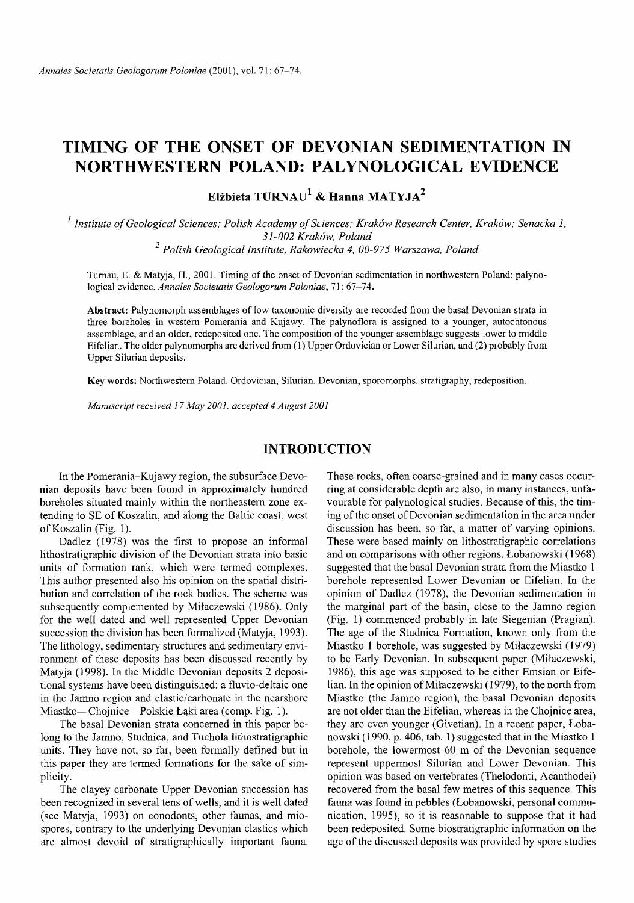# **TIMING OF THE ONSET OF DEVONIAN SEDIMENTATION IN NORTHWESTERN POLAND: PALYNOLOGICAL EVIDENCE**

**Elżbieta TURNAU<sup>1</sup> & Hanna MATYJA<sup>2</sup>** 

*1 Institute o f Geological Sciences; Polish Academy o f Sciences; Kraków Research Center, Kraków; Senacka I, 31-002 Kraków, Poland <sup>2</sup> Polish Geological Institute, Rakowiecka 4, 00-975 Warszawa, Poland*

Turnau, E. & Matyja, H., 2001. Timing of the onset of Devonian sedimentation in northwestern Poland: palynological evidence. *Annales Societatis Geologorum Poloniae*, 71: 67-74.

Abstract: Palynomorph assemblages of low taxonomic diversity are recorded from the basal Devonian strata in three boreholes in western Pomerania and Kujawy. The palynoflora is assigned to a younger, autochtonous assemblage, and an older, redeposited one. The composition of the younger assemblage suggests lower to middle Eifelian. The older palynomorphs are derived from (1) Upper Ordovician or Lower Silurian, and (2) probably from Upper Silurian deposits.

**Key words:** Northwestern Poland, Ordovician, Silurian, Devonian, sporomorphs, stratigraphy, redeposition.

*Manuscript received 17 May 2001, accepted 4 August 2001*

### **INTRODUCTION**

In the Pomerania-Kujawy region, the subsurface Devonian deposits have been found in approximately hundred boreholes situated mainly within the northeastern zone extending to SE of Koszalin, and along the Baltic coast, west of Koszalin (Fig. 1).

Dadlez (1978) was the first to propose an informal lithostratigraphic division of the Devonian strata into basic units of formation rank, which were termed complexes. This author presented also his opinion on the spatial distribution and correlation of the rock bodies. The scheme was subsequently complemented by Milaczewski (1986). Only for the well dated and well represented Upper Devonian succession the division has been formalized (Matyja, 1993). The lithology, sedimentary structures and sedimentary environment of these deposits has been discussed recently by Matyja (1998). In the Middle Devonian deposits 2 depositional systems have been distinguished: a fluvio-deltaic one in the Jamno region and clastic/carbonate in the nearshore Miastko— Chojnice—Polskie Łąki area (comp. Fig. 1).

The basal Devonian strata concerned in this paper belong to the Jamno, Studnica, and Tuchola lithostratigraphic units. They have not, so far, been formally defined but in this paper they are termed formations for the sake of simplicity.

The clayey carbonate Upper Devonian succession has been recognized in several tens of wells, and it is well dated (see Matyja, 1993) on conodonts, other faunas, and miospores, contrary to the underlying Devonian clastics which are almost devoid of stratigraphically important fauna.

These rocks, often coarse-grained and in many cases occurring at considerable depth are also, in many instances, unfavourable for palynological studies. Because of this, the timing of the onset of Devonian sedimentation in the area under discussion has been, so far, a matter of varying opinions. These were based mainly on lithostratigraphic correlations and on comparisons with other regions. Lobanowski (1968) suggested that the basal Devonian strata from the Miastko 1 borehole represented Lower Devonian or Eifelian. In the opinion of Dadlez (1978), the Devonian sedimentation in the marginal part of the basin, close to the Jamno region (Fig. 1) commenced probably in late Siegenian (Pragian). The age of the Studnica Formation, known only from the Miastko 1 borehole, was suggested by Milaczewski (1979) to be Early Devonian. In subsequent paper (Milaczewski, 1986), this age was supposed to be either Emsian or Eifelian. In the opinion of Milaczewski (1979), to the north from Miastko (the Jamno region), the basal Devonian deposits are not older than the Eifelian, whereas in the Chojnice area, they are even younger (Givetian). In a recent paper, Lobanowski (1990, p. 406, tab. 1) suggested that in the Miastko 1 borehole, the lowermost 60 m of the Devonian sequence represent uppermost Silurian and Lower Devonian. This opinion was based on vertebrates (Thelodonti, Acanthodei) recovered from the basal few metres of this sequence. This fauna was found in pebbles (Lobanowski, personal communication, 1995), so it is reasonable to suppose that it had been redeposited. Some biostratigraphic information on the age of the discussed deposits was provided by spore studies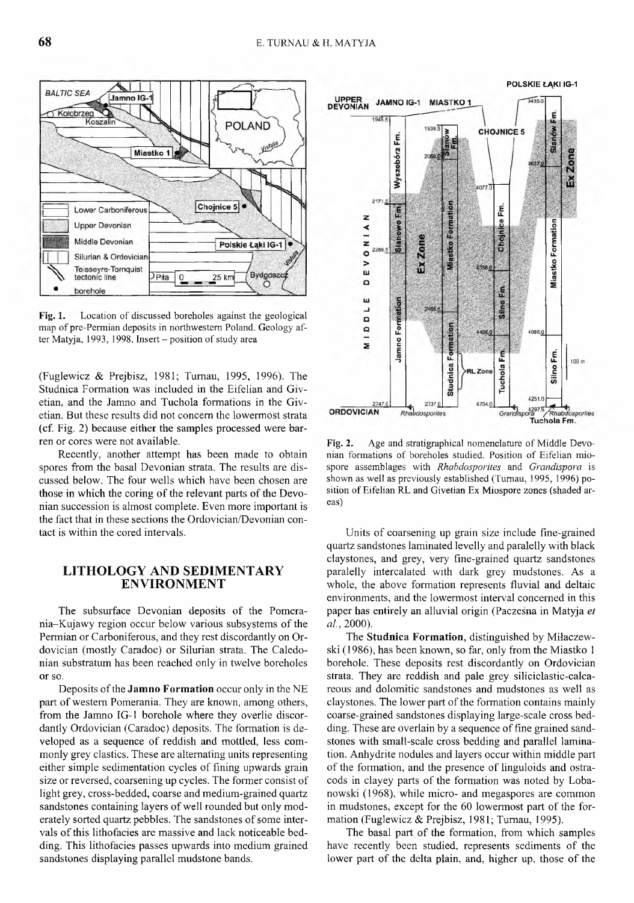Fig. 1. Location of discussed boreholes against the geological map of pre-Permian deposits in northwestern Poland. Geology after Matyja, 1993, 1998. Insert  $-$  position of study area

(Fuglewicz & Prejbisz, 1981; Tumau, 1995, 1996). The Studnica Formation was included in the Eifelian and Givetian, and the Jamno and Tuchola formations in the Givetian. But these results did not concern the lowermost strata (cf. Fig. 2) because either the samples processed were barren or cores were not available.

Recently, another attempt has been made to obtain spores from the basal Devonian strata. The results are discussed below. The four wells which have been chosen are those in which the coring of the relevant parts of the Devonian succession is almost complete. Even more important is the fact that in these sections the Ordovician/Devonian contact is within the cored intervals.

### **LITHOLOGY AND SEDIMENTARY ENVIRONMENT**

The subsurface Devonian deposits of the Pomerania-Kujawy region occur below various subsystems of the Permian or Carboniferous, and they rest discordantly on Ordovician (mostly Caradoc) or Silurian strata. The Caledonian substratum has been reached only in twelve boreholes or so.

Deposits of the **Jamno Formation** occur only in the NE part of western Pomerania. They are known, among others, from the Jamno IG-1 borehole where they overlie discordantly Ordovician (Caradoc) deposits. The formation is developed as a sequence of reddish and mottled, less commonly grey clastics. These are alternating units representing either simple sedimentation cycles of fining upwards grain size or reversed, coarsening up cycles. The former consist of light grey, cross-bedded, coarse and medium-grained quartz sandstones containing layers of well rounded but only moderately sorted quartz pebbles. The sandstones of some intervals of this lithofacies are massive and lack noticeable bedding. This lithofacies passes upwards into medium grained sandstones displaying parallel mudstone bands.



Units of coarsening up grain size include fine-grained quartz sandstones laminated levelly and paralelly with black claystones, and grey, very fine-grained quartz sandstones paralelly intercalated with dark grey mudstones. As a whole, the above formation represents fluvial and deltaic environments, and the lowermost interval concerned in this paper has entirely an alluvial origin (Paczesna in Matyja *et al.,* 2000).

The **Studnica Formation**, distinguished by Miłaczewski (1986), has been known, so far, only from the Miastko 1 borehole. These deposits rest discordantly on Ordovician strata. They are reddish and pale grey siliciclastic-calcareous and dolomitic sandstones and mudstones as well as claystones. The lower part of the formation contains mainly coarse-grained sandstones displaying large-scale cross bedding. These are overlain by a sequence of fine grained sandstones with small-scale cross bedding and parallel lamination. Anhydrite nodules and layers occur within middle part of the formation, and the presence of linguloids and ostracods in clayey parts of the formation was noted by Lobanowski (1968), while micro- and megaspores are common in mudstones, except for the 60 lowermost part of the formation (Fuglewicz & Prejbisz, 1981; Tumau, 1995).

The basal part of the formation, from which samples have recently been studied, represents sediments of the lower part of the delta plain, and, higher up, those of the





**POLSKIE ŁĄKI IG-1**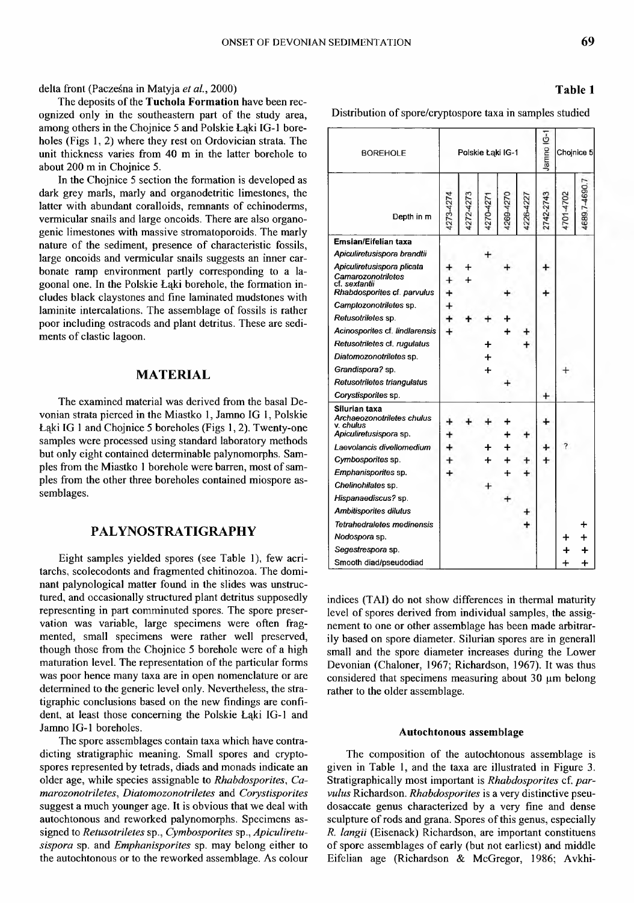delta front (Pacześna in Matyja *et al.,* 2000)

The deposits of the **Tuchola Formation** have been recognized only in the southeastern part of the study area, among others in the Chojnice 5 and Polskie Łąki IG-1 boreholes (Figs 1, 2) where they rest on Ordovician strata. The unit thickness varies from 40 m in the latter borehole to about 200 m in Chojnice 5.

In the Chojnice 5 section the formation is developed as dark grey marls, marly and organodetritic limestones, the latter with abundant coralloids, remnants of echinoderms, vermicular snails and large oncoids. There are also organogenic limestones with massive stromatoporoids. The marly nature of the sediment, presence of characteristic fossils, large oncoids and vermicular snails suggests an inner carbonate ramp environment partly corresponding to a lagoonal one. In the Polskie Łąki borehole, the formation includes black claystones and fine laminated mudstones with laminite intercalations. The assemblage of fossils is rather poor including ostracods and plant detritus. These are sediments of clastic lagoon.

### **MATERIAL**

The examined material was derived from the basal Devonian strata pierced in the Miastko 1, Jamno IG 1, Polskie Łąki IG 1 and Chojnice 5 boreholes (Figs 1,2). Twenty-one samples were processed using standard laboratory methods but only eight contained determinable palynomorphs. Samples from the Miastko 1 borehole were barren, most of samples from the other three boreholes contained miospore assemblages.

## **PALYNOSTRATIGRAPHY**

Eight samples yielded spores (see Table 1), few acritarchs, scolecodonts and fragmented chitinozoa. The dominant palynological matter found in the slides was unstructured, and occasionally structured plant detritus supposedly representing in part comminuted spores. The spore preservation was variable, large specimens were often fragmented, small specimens were rather well preserved, though those from the Chojnice 5 borehole were of a high maturation level. The representation of the particular forms was poor hence many taxa are in open nomenclature or are determined to the generic level only. Nevertheless, the stratigraphic conclusions based on the new findings are confident, at least those concerning the Polskie Łąki IG-1 and Jamno IG-1 boreholes.

The spore assemblages contain taxa which have contradicting stratigraphic meaning. Small spores and cryptospores represented by tetrads, diads and monads indicate an older age, while species assignable to *Rhabdosporites*, *Ca* $marozonotrites, Diatomozonotrites and$  *Corystisporites* suggest a much younger age. It is obvious that we deal with autochtonous and reworked palynomorphs. Specimens assigned to *Retusotriletes* sp., *Cymbosporites* sp., *Apiculiretusispora* sp. and *Emphanisporites* sp. may belong either to the autochtonous or to the reworked assemblage. As colour

### **Table 1**

Distribution of spore/cryptospore taxa in samples studied

| <b>BOREHOLE</b>                                                                    | Polskie Łąki IG-1 |  |   |   |  | Jamno IG- | Chojnice 5 |      |
|------------------------------------------------------------------------------------|-------------------|--|---|---|--|-----------|------------|------|
| Depth in m                                                                         |                   |  |   |   |  | 2742-2743 |            | 4690 |
| Emsian/Eifelian taxa                                                               |                   |  |   |   |  |           |            |      |
| Apiculiretusispora brandtii                                                        |                   |  |   |   |  |           |            |      |
| Apiculiretusispora plicata                                                         |                   |  |   |   |  |           |            |      |
| Camarozonotriletes<br>cf. sextantii                                                |                   |  |   |   |  |           |            |      |
| Rhabdosporites cf. parvulus                                                        |                   |  |   |   |  |           |            |      |
| Camptozonotriletes sp.                                                             |                   |  |   |   |  |           |            |      |
| Retusotriletes sp.                                                                 |                   |  |   |   |  |           |            |      |
| Acinosporites cf. lindlarensis                                                     | +                 |  |   | 4 |  |           |            |      |
| Retusotriletes cf. rugulatus                                                       |                   |  | ╇ |   |  |           |            |      |
| Diatomozonotriletes sp.                                                            |                   |  |   |   |  |           |            |      |
| Grandispora? sp.                                                                   |                   |  | ┿ |   |  |           |            |      |
| Retusotriletes triangulatus                                                        |                   |  |   |   |  |           |            |      |
| Corystisporites sp.                                                                |                   |  |   |   |  |           |            |      |
| Silurian taxa<br>Archaeozonotriletes chulus<br>v. chulus<br>Apiculiretusispora sp. |                   |  |   |   |  |           |            |      |
| Laevolancis divellomedium                                                          |                   |  |   |   |  |           |            |      |
| Cymbosporites sp.                                                                  |                   |  |   |   |  |           |            |      |
| Emphanisporites sp.                                                                |                   |  |   |   |  |           |            |      |
| Chelinohilates sp.                                                                 |                   |  |   |   |  |           |            |      |
| Hispanaediscus? sp.                                                                |                   |  |   |   |  |           |            |      |
| <b>Ambitisporites dilutus</b>                                                      |                   |  |   |   |  |           |            |      |
| <b>Tetrahedraletes medinensis</b>                                                  |                   |  |   |   |  |           |            |      |
| Nodospora sp.                                                                      |                   |  |   |   |  |           |            |      |
| Segestrespora sp.                                                                  |                   |  |   |   |  |           |            |      |
| Smooth diad/pseudodiad                                                             |                   |  |   |   |  |           | ╇          | ┿    |

indices (TAI) do not show differences in thermal maturity level of spores derived from individual samples, the assignement to one or other assemblage has been made arbitrarily based on spore diameter. Silurian spores are in generall small and the spore diameter increases during the Lower Devonian (Chaloner, 1967; Richardson, 1967). It was thus considered that specimens measuring about  $30 \mu m$  belong rather to the older assemblage.

#### **Autochtonous assemblage**

The composition of the autochtonous assemblage is given in Table 1, and the taxa are illustrated in Figure 3. Stratigraphically most important is *Rhabdosporites* cf. *parvulus* Richardson. *Rhabdosporites* is a very distinctive pseudosaccate genus characterized by a very fine and dense sculpture of rods and grana. Spores of this genus, especially *R. langii* (Eisenack) Richardson, are important constituens of spore assemblages of early (but not earliest) and middle Eifelian age (Richardson & McGregor, 1986; Avkhi-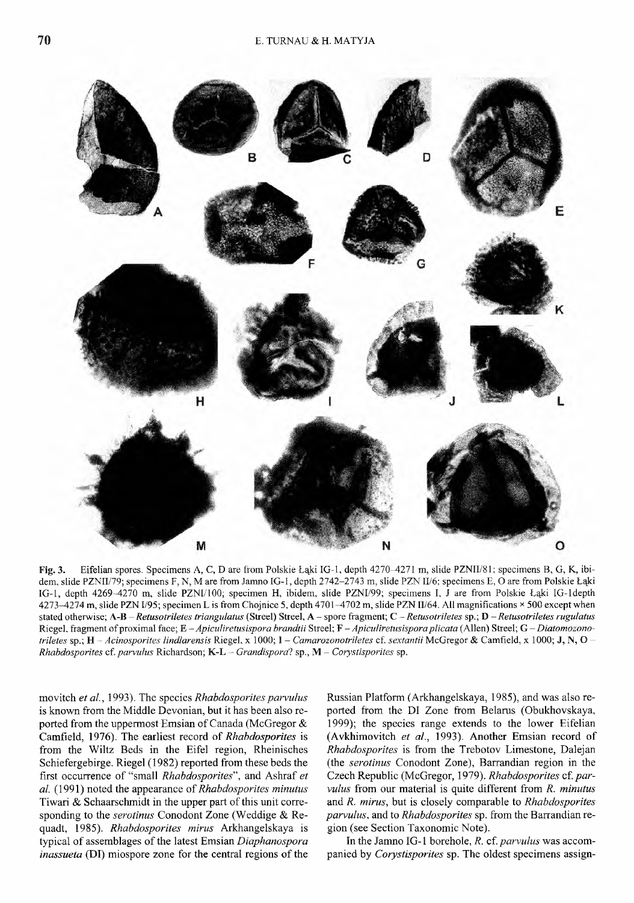

Fig. 3. Eifelian spores. Specimens A, C, D are from Polskie Łąki IG-1, depth 4270-4271 m, slide PZNII/81; specimens B, G, K, ibidem, slide PZNII/79; specimens F, N, M are from Jamno IG-1, depth 2742-2743 m, slide PZN II/6; specimens E, O are from Polskie Łąki IG-1, depth 4269-4270 m, slide PZNI/100; specimen H, ibidem, slide PZNI/99; specimens I, J are from Polskie Łąki IG-1depth  $4273 - 4274$  m, slide PZN I/95; specimen L is from Chojnice 5, depth 4701 $-4702$  m, slide PZN II/64. All magnifications  $\times$  500 except when stated otherw ise; A-B *- Retusotriletes triangulatus* (Streel) Streel, A - spore fragm ent; *C - Retusotriletes* sp.; D - *Retusotriletes rugulatus* Riegel. fragment of proximal face; E-Apiculiretusispora brandtii Streel; F-Apiculiretusispora plicata (Allen) Streel; G-Diatomozono*triletes* sp.; H – *Acinosporites lindlarensis* Riegel, x 1000; I – *Camarozonotriletes* cf. *sextantii* McGregor & Camfield, x 1000; J, N, O – *Rhabdosporites* cf. *parvulus* Richardson; K-L - *Grandispora*? sp., M - *Corystisporites* sp.

movitch *et al.,* 1993). The species *Rhabdosporites parvulus* is known from the Middle Devonian, but it has been also reported from the uppermost Emsian of Canada (McGregor & Camfield, 1976). The earliest record of *Rhabdosporites* is from the Wiltz Beds in the Eifel region, Rheinisches Schiefergebirge. Riegel (1982) reported from these beds the first occurrence of "small *Rhabdosporites*", and Ashraf *et al.* (1991) noted the appearance of *Rhabdosporites minutus* Tiwari & Schaarschmidt in the upper part of this unit corresponding to the *serotinus* Conodont Zone (Weddige & Requadt, 1985). *Rhabdosporites minis* Arkhangelskaya is typical of assemblages of the latest Emsian *Diaphanospora inassueta* (DI) miospore zone for the central regions of the

Russian Platform (Arkhangelskaya, 1985), and was also reported from the DI Zone from Belarus (Obukhovskaya, 1999); the species range extends to the lower Eifelian (Avkhimovitch *et al.,* 1993). Another Emsian record of *Rhabdosporites* is from the Trebotov Limestone, Dalejan (the *serotinus* Conodont Zone), Barrandian region in the Czech Republic (McGregor, 1979). *Rhabdosporites cf. parvulus* from our material is quite different from *R. minutus* and *R. mirus,* but is closely comparable to *Rhabdosporites parvulus,* and to *Rhabdosporites* sp. from the Barrandian region (see Section Taxonomic Note).

In the Jamno IG-1 borehole, *R. cf. parvulus* was accompanied by *Corystisporites* sp. The oldest specimens assign-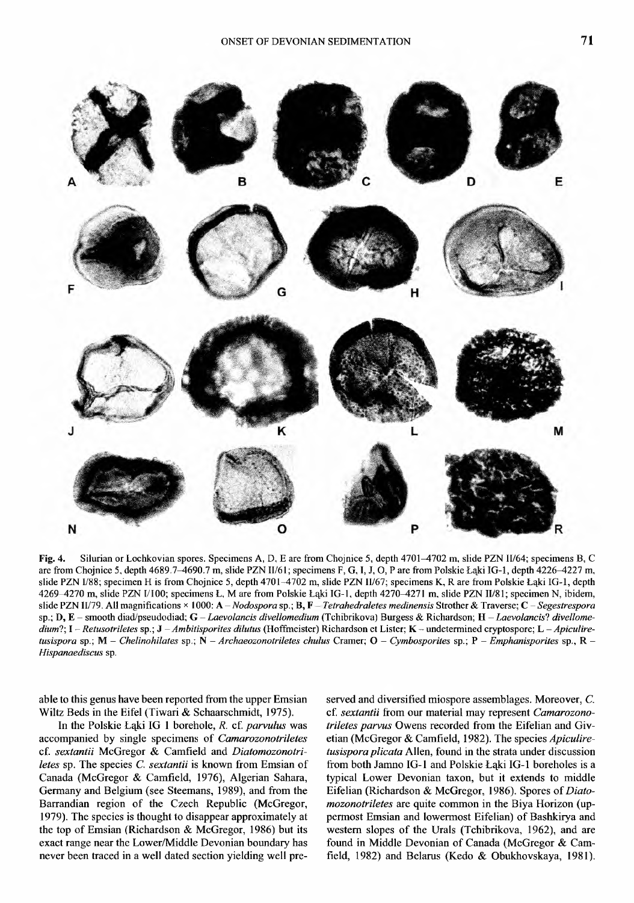

Fig. 4. Silurian or Lochkovian spores. Specimens A, D, E are from Chojnice 5, depth 4701-4702 m, slide PZN II/64; specimens B, C are from Chojnice 5, depth 4689.7-4690.7 m, slide PZN II/61; specimens F, G, I, J, O, P are from Polskie Łąki IG-1, depth 4226-4227 m, slide PZN 1/88; specimen H is from Chojnice 5, depth 4701-4702 m, slide PZN II/67; specimens K, R are from Polskie Łąki IG-1, depth 4269-4270 m, slide PZN I/100; specimens Ł, M are from Polskie Łąki IG-1, depth 4270-4271 m, slide PZN II/81; specimen N, ibidem, slide PZN II/79. All magnifications × 1000: A – *Nodospora* sp.; B, F – *Tetrahedraletes medinensis* Strother & Traverse; C – *Segestrespora* sp.; D, E - smooth diad/pseudodiad; G - Laevolancis divellomedium (Tchibrikova) Burgess & Richardson; H - Laevolancis? divellome*dium*?; I – *Retusotriletes* sp.; J – *Ambitisporites dilutus* (Hoffmeister) Richardson et Lister; K – undetermined cryptospore; L – *Apiculiretusispora* sp.; M – *Chelinohilates* sp.; N – *Archaeozonotriletes chulus* Cramer; O – *Cymbosporites* sp.; P – *Emphanisporites* sp., R – *Hispanaediscus* sp.

able to this genus have been reported from the upper Emsian Wiltz Beds in the Eifel (Tiwari & Schaarschmidt, 1975).

In the Polskie Łąki IG 1 borehole, *R.* cf. *parvulus* was accompanied by single specimens of *Camarozonotriletes* cf. *sextantii* McGregor & Camfield and *Diatomozonotriletes* sp. The species C. *sextantii* is known from Emsian of Canada (McGregor & Camfield, 1976), Algerian Sahara, Germany and Belgium (see Steemans, 1989), and from the Barrandian region of the Czech Republic (McGregor, 1979). The species is thought to disappear approximately at the top of Emsian (Richardson & McGregor, 1986) but its exact range near the Lower/Middle Devonian boundary has never been traced in a well dated section yielding well preserved and diversified miospore assemblages. Moreover, C. cf. *sextantii* from our material may represent *Camarozonotriletes parvus* Owens recorded from the Eifelian and Givetian (McGregor & Camfield, 1982). The species *Apiculiretusispora plicata* Allen, found in the strata under discussion from both Jamno IG-1 and Polskie Łąki IG-1 boreholes is a typical Lower Devonian taxon, but it extends to middle Eifelian (Richardson & McGregor, 1986). Spores of *Diatomozonotriletes* are quite common in the Biya Horizon (uppermost Emsian and lowermost Eifelian) of Bashkirya and western slopes of the Urals (Tchibrikova, 1962), and are found in Middle Devonian of Canada (McGregor & Camfield, 1982) and Belarus (Kedo & Obukhovskaya, 1981).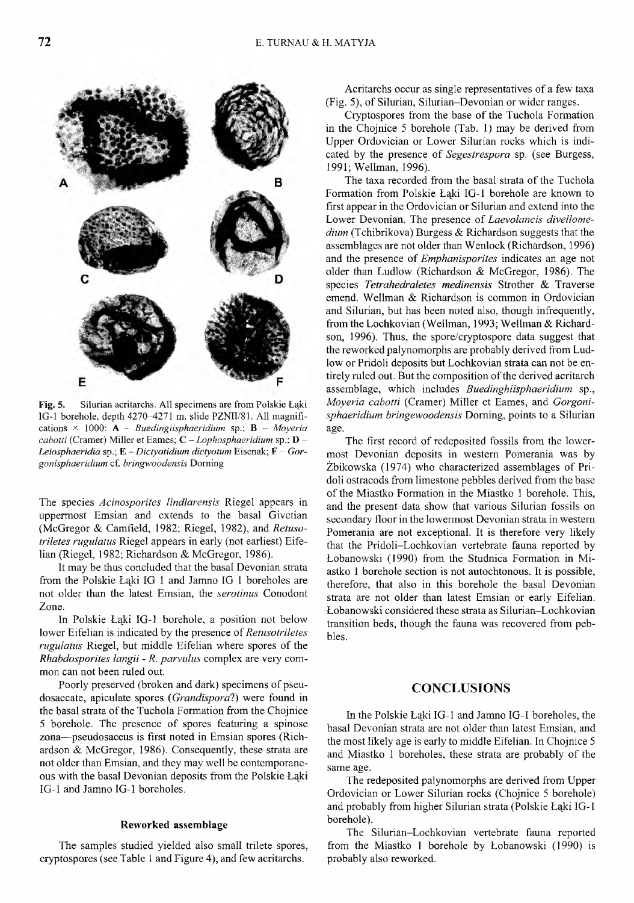**B** E

Fig. 5. Silurian acritarchs. All specimens are from Polskie Łąki IG-1 borehole, depth 4270-4271 m, slide PZNII/81. All magnifications x 1000: A - *Buedingiisphaeridium* sp.; B - *Moyeria cabotti* (Cramer) Miller et Eames; C - *Lophosphaeridium* sp.; D -*Leiosphaeridia* sp.; E - *Dictyotidium dictyotum* Eisenak; F - *Gorgonisphaeridium* cf. *bringwoodensis* D om ing

The species *Acinosporites lindlarensis* Riegel appears in uppermost Emsian and extends to the basal Givetian (McGregor & Camfield, 1982; Riegel, 1982), and *Retusotriletes rugulatus* Riegel appears in early (not earliest) Eifelian (Riegel, 1982; Richardson & McGregor, 1986).

It may be thus concluded that the basal Devonian strata from the Polskie Łąki IG 1 and Jamno IG 1 boreholes are not older than the latest Emsian, the *serotinus* Conodont Zone.

In Polskie Łąki IG-1 borehole, a position not below lower Eifelian is indicated by the presence of *Retusotriletes rugulatus* Riegel, but middle Eifelian where spores of the *Rhabdosporites langii - R. parvulus* complex are veiy common can not been ruled out.

Poorly preserved (broken and dark) specimens of pseudosaccate, apiculate spores (*Grandisporal*) were found in the basal strata of the Tuchola Formation from the Chojnice 5 borehole. The presence of spores featuring a spinose zona—pseudosaccus is first noted in Emsian spores (Richardson & McGregor, 1986). Consequently, these strata are not older than Emsian, and they may well be contemporaneous with the basal Devonian deposits from the Polskie Łąki IG-1 and Jamno IG-1 boreholes.

#### Reworked assemblage

The samples studied yielded also small trilete spores, cryptospores (see Table 1 and Figure 4), and few acritarchs.

Acritarchs occur as single representatives of a few taxa (Fig. 5), of Silurian, Silurian–Devonian or wider ranges.

Cryptospores from the base of the Tuchola Formation in the Chojnice 5 borehole (Tab. 1) may be derived from Upper Ordovician or Lower Silurian rocks which is indicated by the presence of *Segestrespora* sp. (see Burgess, 1991; Wellman, 1996).

The taxa recorded from the basal strata of the Tuchola Formation from Polskie Łąki IG-1 borehole are known to first appear in the Ordovician or Silurian and extend into the Lower Devonian. The presence of *Laevolancis divellomedium* (Tchibrikova) Burgess & Richardson suggests that the assemblages are not older than Wenlock (Richardson, 1996) and the presence of *Emphanisporites* indicates an age not older than Ludlow (Richardson & McGregor, 1986). The species *Tetrahedraletes medinensis* Strother & Traverse emend. Wellman & Richardson is common in Ordovician and Silurian, but has been noted also, though infrequently, from the Lochkovian (Wellman, 1993; Wellman & Richardson, 1996). Thus, the spore/cryptospore data suggest that the reworked palynomorphs are probably derived from Ludlow or Pridoli deposits but Lochkovian strata can not be entirely ruled out. But the composition of the derived acritarch assemblage, which includes *Buedinghiisphaeridium* sp., *Moyeria cabotti* (Cramer) Miller et Eames, and *Gorgonisphaeridium bringewoodensis* Doming, points to a Silurian age.

The first record of redeposited fossils from the lowermost Devonian deposits in western Pomerania was by Żbikowska (1974) who characterized assemblages of Pridoli ostracods from limestone pebbles derived from the base of the Miastko Formation in the Miastko 1 borehole. This, and the present data show that various Silurian fossils on secondary floor in the lowermost Devonian strata in western Pomerania are not exceptional. It is therefore very likely that the Pridoli-Lochkovian vertebrate fauna reported by Łobanowski (1990) from the Studnica Formation in Miastko 1 borehole section is not autochtonous. It is possible, therefore, that also in this borehole the basal Devonian strata are not older than latest Emsian or early Eifelian. Łobanowski considered these strata as Silurian-Lochkovian transition beds, though the fauna was recovered from pebbles.

### **CONCLUSIONS**

In the Polskie Łąki IG -1 and Jamno IG -1 boreholes, the basal Devonian strata are not older than latest Emsian, and the most likely age is early to middle Eifelian. In Chojnice 5 and Miastko 1 boreholes, these strata are probably of the same age.

The redeposited palynomorphs are derived from Upper Ordovician or Lower Silurian rocks (Chojnice 5 borehole) and probably from higher Silurian strata (Polskie Łąki IG -1 borehole).

The Silurian-Lochkovian vertebrate fauna reported from the Miastko 1 borehole by Łobanowski (1990) is probably also reworked.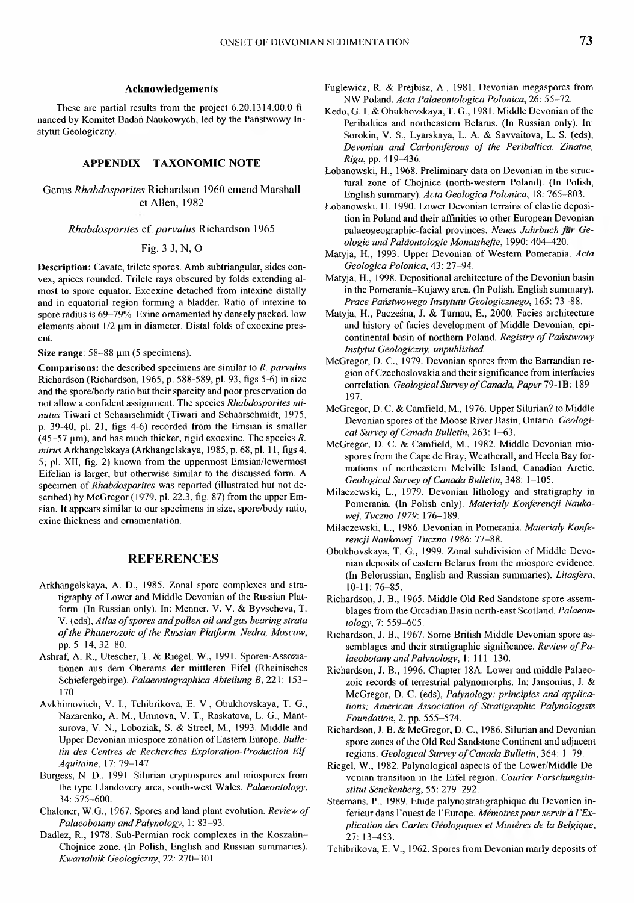#### **Acknowledgements**

These are partial results from the project 6.20.1314.00.0 financed by Komitet Badan Naukowych, led by the Panstwowy Instytut Geologiczny.

#### **APPENDIX - TAXONOMIC NOTE**

Genus *Rhabdosporites* Richardson 1960 emend Marshall et Allen, 1982

#### *Rhabdosporites* cf. *parvulus* Richardson 1965

Fig. 3 J, N, O

**Description:** Cavate, trilete spores. Amb subtriangular, sides convex, apices rounded. Trilete rays obscured by folds extending almost to spore equator. Exoexine detached from intexine distally and in equatorial region forming a bladder. Ratio of intexine to spore radius is 69-79%. Exine ornamented by densely packed, low elements about 1/2 um in diameter. Distal folds of exoexine present.

Size range: 58-88  $\mu$ m (5 specimens).

**Comparisons:** the described specimens are similar to *R. parvulus* Richardson (Richardson, 1965, p. 588-589, pi. 93, figs 5-6) in size and the spore/body ratio but their sparcity and poor preservation do not allow a confident assignm ent. The species *Rhabdosporites mi*nutus Tiwari et Schaarschmidt (Tiwari and Schaarschmidt, 1975, p. 39-40, pl. 21, figs 4-6) recorded from the Emsian is smaller (45 $-57 \mu m$ ), and has much thicker, rigid exoexine. The species *R*. mirus Arkhangelskaya (Arkhangelskaya, 1985, p. 68, pl. 11, figs 4, 5; pl. XII, fig. 2) known from the uppermost Emsian/lowermost Eifelian is larger, but otherwise similar to the discussed form. A specimen of *Rhabdosporites* was reported (illustrated but not described) by McGregor (1979, pl. 22.3, fig. 87) from the upper Emsian. It appears similar to our specimens in size, spore/body ratio, exine thickness and ornamentation.

#### **REFERENCES**

- Arkhangelskaya, A. D., 1985. Zonal spore complexes and stratigraphy of Lower and Middle Devonian of the Russian Platform. (In Russian only). In: Menner, V. V. & Byvscheva, T. V. (eds), Atlas of spores and pollen oil and gas bearing strata of the Phanerozoic of the Russian Platform. Nedra, Moscow, pp. 5-14, 32-80.
- Ashraf, A. R., Utescher, T. & Riegel, W., 1991. Sporen-Assoziationen aus dem Oberems der mittleren Eifel (Rheinisches Schiefergebirge). *Palaeontographica Abteihmg B,* 221: 153- 170.
- Avkhimovitch, V. I., Tchibrikova, E. V., Obukhovskaya, T. G., Nazarenko, A. M., Umnova, V. T., Raskatova, L. G., Mantsurova, V. N., Loboziak, S. & Streel, M., 1993. Middle and Upper Devonian miospore zonation of Eastern Europe. Bulle*tin des Centres de Recherches Exploration-Production Elf-Aquitaine,* 17: 79-147.
- Burgess, N. D., 1991. Silurian cryptospores and miospores from the type Llandovery area, south-w est W ales. *Palaeontology***,** 34: 575-600.
- Chaloner, W.G., 1967. Spores and land plant evolution. *Review of Palaeobotany and Palvnology',* 1: 83-93.
- Dadlez, R., 1978. Sub-Permian rock complexes in the Koszalin-Chojnice zone. (In Polish, English and Russian summaries). *Kwartalnik Geologiczny*, 22: 270-301.
- Fuglewicz, R. & Prejbisz, A., 1981. Devonian megaspores from N W Poland. *Acta Palaeontologica Polonica,* 26: 55-72.
- Kedo, G. I. & Obukhovskaya, T. G., 1981. Middle Devonian of the Peribaltica and northeastern Belarus. (In Russian only). In: Sorokin, V. S., Lyarskaya, L. A. & Savvaitova, L. S. (eds), Devonian and Carboniferous of the Peribaltica. Zinatne, *Riga,* pp. 419**—**436.
- Łobanowski, H., 1968. Preliminary data on Devonian in the structural zone of Chojnice (north-western Poland). (In Polish, English sum m ary). *Acta Geologica Polonica,* 18: 765-803.
- Łobanowski, H. 1990. Lower Devonian terrains of clastic deposition in Poland and their affinities to other European Devonian palaeogeographic-facial provinces. *Neues Jahrbuch fur Geologie undPalaontologie Monatshefte,* 1990: 404^120.
- Matyja, H., 1993. Upper Devonian of Western Pomerania. Acta *Geologica Polonica,* 43: 27-94.
- Matyja, H., 1998. Depositional architecture of the Devonian basin in the Pomerania-Kujawy area. (In Polish, English summary). *Prace Państwowego Instytutu Geologicznego,* 165: 73-88.
- Matyja, H., Pacześna, J. & Turnau, E., 2000. Facies architecture and history of facies development of Middle Devonian, epicontinental basin of northern Poland. *Registry of Państwowy Instytut Geologiczny, unpublished.*
- McGregor, D. C., 1979. Devonian spores from the Barrandian region of Czechoslovakia and their significance from interfacies correlation. *Geological Survey of Canada*, Paper 79-1B: 189-197.
- McGregor, D. C. & Camfield, M., 1976. Upper Silurian? to Middle Devonian spores of the Moose River Basin, Ontario. *Geologi*cal Survey of Canada Bulletin, 263: 1-63.
- McGregor, D. C. & Camfield, M., 1982. Middle Devonian miospores from the Cape de Bray, Weatherall, and Hecla Bay formations of northeastern Melville Island, Canadian Arctic. *Geological Survey of Canada Bulletin,* 348: 1-105.
- Milaczewski, L., 1979. Devonian lithology and stratigraphy in Pomerania. (In Polish only). Materiały Konferencji Nauko*wej, Tuczno 1979:* 176-189.
- Miłaczewski, L., 1986. Devonian in Pomerania. Materiały Konfe*rencji Naukowej, Tuczno 1986:* 77-88.
- Obukhovskaya, T. G., 1999. Zonal subdivision of Middle Devonian deposits of eastern Belarus from the miospore evidence. (In Belorussian, English and Russian summaries). *Litasfera*, 10 -11:76-85.
- Richardson, J. B., 1965. Middle Old Red Sandstone spore assemblages from the Orcadian Basin north-east Scotland. *Palaeontology',* 7: 559-605.
- Richardson, J. B., 1967. Some British Middle Devonian spore assemblages and their stratigraphic significance. *Review of Palaeobotany and Palynologv,* 1: 111-130.
- Richardson, J. B., 1996. Chapter 18A. Lower and middle Palaeozoic records of terrestrial palynomorphs. In: Jansonius, J.  $\&$ McGregor, D. C. (eds), *Palynology: principles and applica*tions; American Association of Stratigraphic Palynologists *Foundation,* 2, pp. 555-574.
- Richardson, J. B. & McGregor, D. C., 1986. Silurian and Devonian spore zones of the Old Red Sandstone Continent and adjacent regions. *Geological Survey of Canada Bulletin*, 364: 1-79.
- Riegel, W., 1982. Palynological aspects of the Lower/Middle Devonian transition in the Eifel region. *Courier Forschungsinstitut Senckenberg,* 55: 279-292.
- Steemans, P., 1989. Etude palynostratigraphique du Devonien inferieur dans l'ouest de l'Europe. Mémoires pour servir à l'Ex*plication des Cartes Geologiques et Minieres de la Belgique***,** 27: 13-453.
- Tchibrikova, E. V., 1962. Spores from Devonian marly deposits of